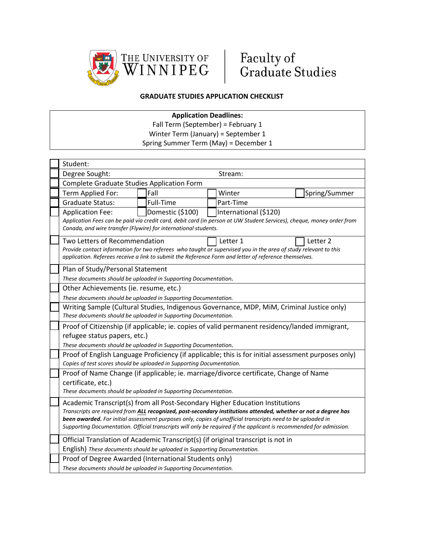



## **GRADUATE STUDIES APPLICATION CHECKLIST**

## **Application Deadlines:**

Fall Term (September) = February 1

Winter Term (January) = September 1 Spring Summer Term (May) = December 1

| Student:                                                                                                                                                                                                                                                                                                                                                                                                                              |                                           |           |  |           |  |               |  |
|---------------------------------------------------------------------------------------------------------------------------------------------------------------------------------------------------------------------------------------------------------------------------------------------------------------------------------------------------------------------------------------------------------------------------------------|-------------------------------------------|-----------|--|-----------|--|---------------|--|
| Degree Sought:<br>Stream:                                                                                                                                                                                                                                                                                                                                                                                                             |                                           |           |  |           |  |               |  |
| Complete Graduate Studies Application Form                                                                                                                                                                                                                                                                                                                                                                                            |                                           |           |  |           |  |               |  |
| Term Applied For:                                                                                                                                                                                                                                                                                                                                                                                                                     |                                           | Fall      |  | Winter    |  | Spring/Summer |  |
| <b>Graduate Status:</b>                                                                                                                                                                                                                                                                                                                                                                                                               |                                           | Full-Time |  | Part-Time |  |               |  |
| <b>Application Fee:</b>                                                                                                                                                                                                                                                                                                                                                                                                               | Domestic (\$100)<br>International (\$120) |           |  |           |  |               |  |
| Application Fees can be paid via credit card, debit card (in person at UW Student Services), cheque, money order from<br>Canada, and wire transfer (Flywire) for international students.                                                                                                                                                                                                                                              |                                           |           |  |           |  |               |  |
| Two Letters of Recommendation<br>Letter 1<br>Letter 2<br>Provide contact information for two referees who taught or supervised you in the area of study relevant to this<br>application. Referees receive a link to submit the Reference Form and letter of reference themselves.                                                                                                                                                     |                                           |           |  |           |  |               |  |
| Plan of Study/Personal Statement                                                                                                                                                                                                                                                                                                                                                                                                      |                                           |           |  |           |  |               |  |
| These documents should be uploaded in Supporting Documentation.                                                                                                                                                                                                                                                                                                                                                                       |                                           |           |  |           |  |               |  |
| Other Achievements (ie. resume, etc.)                                                                                                                                                                                                                                                                                                                                                                                                 |                                           |           |  |           |  |               |  |
| These documents should be uploaded in Supporting Documentation.                                                                                                                                                                                                                                                                                                                                                                       |                                           |           |  |           |  |               |  |
| Writing Sample (Cultural Studies, Indigenous Governance, MDP, MiM, Criminal Justice only)<br>These documents should be uploaded in Supporting Documentation.                                                                                                                                                                                                                                                                          |                                           |           |  |           |  |               |  |
| Proof of Citizenship (if applicable; ie. copies of valid permanent residency/landed immigrant,                                                                                                                                                                                                                                                                                                                                        |                                           |           |  |           |  |               |  |
| refugee status papers, etc.)                                                                                                                                                                                                                                                                                                                                                                                                          |                                           |           |  |           |  |               |  |
| These documents should be uploaded in Supporting Documentation.                                                                                                                                                                                                                                                                                                                                                                       |                                           |           |  |           |  |               |  |
| Proof of English Language Proficiency (if applicable; this is for initial assessment purposes only)<br>Copies of test scores should be uploaded in Supporting Documentation.                                                                                                                                                                                                                                                          |                                           |           |  |           |  |               |  |
| Proof of Name Change (if applicable; ie. marriage/divorce certificate, Change of Name<br>certificate, etc.)<br>These documents should be uploaded in Supporting Documentation.                                                                                                                                                                                                                                                        |                                           |           |  |           |  |               |  |
| Academic Transcript(s) from all Post-Secondary Higher Education Institutions<br>Transcripts are required from ALL recognized, post-secondary institutions attended, whether or not a degree has<br>been awarded. For initial assessment purposes only, copies of unofficial transcripts need to be uploaded in<br>Supporting Documentation. Official transcripts will only be required if the applicant is recommended for admission. |                                           |           |  |           |  |               |  |
| Official Translation of Academic Transcript(s) (if original transcript is not in                                                                                                                                                                                                                                                                                                                                                      |                                           |           |  |           |  |               |  |
| English) These documents should be uploaded in Supporting Documentation.                                                                                                                                                                                                                                                                                                                                                              |                                           |           |  |           |  |               |  |
| Proof of Degree Awarded (International Students only)                                                                                                                                                                                                                                                                                                                                                                                 |                                           |           |  |           |  |               |  |
| These documents should be uploaded in Supporting Documentation.                                                                                                                                                                                                                                                                                                                                                                       |                                           |           |  |           |  |               |  |